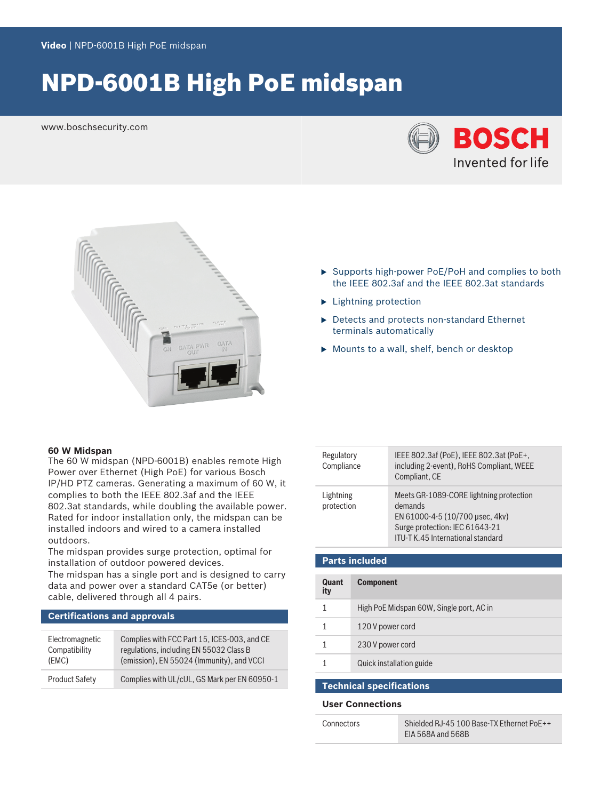# NPD-6001B High PoE midspan

www.boschsecurity.com





- $\triangleright$  Supports high-power PoE/PoH and complies to both the IEEE 802.3af and the IEEE 802.3at standards
- $\blacktriangleright$  Lightning protection
- $\blacktriangleright$  Detects and protects non-standard Ethernet terminals automatically
- $\blacktriangleright$  Mounts to a wall, shelf, bench or desktop

#### **60 W Midspan**

The 60 W midspan (NPD-6001B) enables remote High Power over Ethernet (High PoE) for various Bosch IP/HD PTZ cameras. Generating a maximum of 60 W, it complies to both the IEEE 802.3af and the IEEE 802.3at standards, while doubling the available power. Rated for indoor installation only, the midspan can be installed indoors and wired to a camera installed outdoors.

The midspan provides surge protection, optimal for installation of outdoor powered devices.

The midspan has a single port and is designed to carry data and power over a standard CAT5e (or better) cable, delivered through all 4 pairs.

#### **Certifications and approvals**

| Electromagnetic       | Complies with FCC Part 15, ICES-003, and CE  |
|-----------------------|----------------------------------------------|
| Compatibility         | regulations, including EN 55032 Class B      |
| (EMC)                 | (emission), EN 55024 (Immunity), and VCCI    |
| <b>Product Safety</b> | Complies with UL/cUL, GS Mark per EN 60950-1 |

| Regulatory<br>Compliance | IEEE 802.3af (PoE), IEEE 802.3at (PoE+,<br>including 2-event), RoHS Compliant, WEEE<br>Compliant, CE                                                         |
|--------------------------|--------------------------------------------------------------------------------------------------------------------------------------------------------------|
| Lightning<br>protection  | Meets GR-1089-CORE lightning protection<br>demands<br>EN 61000-4-5 (10/700 µsec, 4kv)<br>Surge protection: IEC 61643-21<br>ITU-T K.45 International standard |

| <b>Parts included</b> |                                          |
|-----------------------|------------------------------------------|
| Quant<br>ity          | <b>Component</b>                         |
| 1                     | High PoE Midspan 60W, Single port, AC in |
|                       | 120 V power cord                         |
|                       | 230 V power cord                         |
|                       | Quick installation guide                 |
|                       |                                          |

### **Technical specifications**

#### **User Connections**

| Connectors | Shielded RJ-45 100 Base-TX Ethernet PoE++ |
|------------|-------------------------------------------|
|            | EIA 568A and 568B                         |